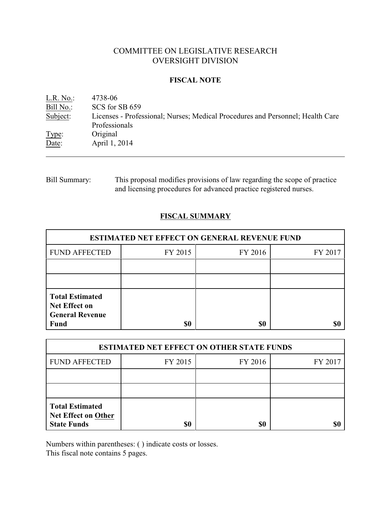# COMMITTEE ON LEGISLATIVE RESEARCH OVERSIGHT DIVISION

### **FISCAL NOTE**

| L.R. No.  | 4738-06                                                                        |
|-----------|--------------------------------------------------------------------------------|
| Bill No.: | SCS for SB 659                                                                 |
| Subject:  | Licenses - Professional; Nurses; Medical Procedures and Personnel; Health Care |
|           | Professionals                                                                  |
| Type:     | Original                                                                       |
| Date:     | April 1, 2014                                                                  |
|           |                                                                                |

Bill Summary: This proposal modifies provisions of law regarding the scope of practice and licensing procedures for advanced practice registered nurses.

## **FISCAL SUMMARY**

| <b>ESTIMATED NET EFFECT ON GENERAL REVENUE FUND</b>                                     |         |         |         |  |
|-----------------------------------------------------------------------------------------|---------|---------|---------|--|
| <b>FUND AFFECTED</b>                                                                    | FY 2015 | FY 2016 | FY 2017 |  |
|                                                                                         |         |         |         |  |
|                                                                                         |         |         |         |  |
| <b>Total Estimated</b><br><b>Net Effect on</b><br><b>General Revenue</b><br><b>Fund</b> | \$0     | \$0     |         |  |

| <b>ESTIMATED NET EFFECT ON OTHER STATE FUNDS</b>                           |         |         |         |  |
|----------------------------------------------------------------------------|---------|---------|---------|--|
| <b>FUND AFFECTED</b>                                                       | FY 2015 | FY 2016 | FY 2017 |  |
|                                                                            |         |         |         |  |
|                                                                            |         |         |         |  |
| <b>Total Estimated</b><br><b>Net Effect on Other</b><br><b>State Funds</b> | \$0     | \$0     |         |  |

Numbers within parentheses: ( ) indicate costs or losses.

This fiscal note contains 5 pages.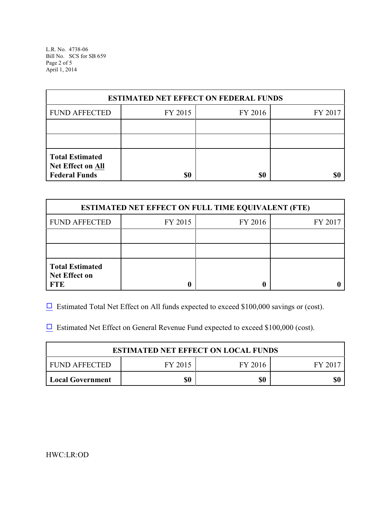L.R. No. 4738-06 Bill No. SCS for SB 659 Page 2 of 5 April 1, 2014

| <b>ESTIMATED NET EFFECT ON FEDERAL FUNDS</b>                        |         |         |         |  |
|---------------------------------------------------------------------|---------|---------|---------|--|
| <b>FUND AFFECTED</b>                                                | FY 2015 | FY 2016 | FY 2017 |  |
|                                                                     |         |         |         |  |
|                                                                     |         |         |         |  |
| <b>Total Estimated</b><br>Net Effect on All<br><b>Federal Funds</b> | \$0     | \$0     | \$0     |  |

| <b>ESTIMATED NET EFFECT ON FULL TIME EQUIVALENT (FTE)</b>    |         |         |         |  |
|--------------------------------------------------------------|---------|---------|---------|--|
| <b>FUND AFFECTED</b>                                         | FY 2015 | FY 2016 | FY 2017 |  |
|                                                              |         |         |         |  |
|                                                              |         |         |         |  |
| <b>Total Estimated</b><br><b>Net Effect on</b><br><b>FTE</b> |         |         |         |  |

 $\Box$  Estimated Total Net Effect on All funds expected to exceed \$100,000 savings or (cost).

 $\Box$  Estimated Net Effect on General Revenue Fund expected to exceed \$100,000 (cost).

| <b>ESTIMATED NET EFFECT ON LOCAL FUNDS</b> |         |         |       |  |
|--------------------------------------------|---------|---------|-------|--|
| FUND AFFECTED                              | FY 2015 | FY 2016 | FV 20 |  |
| <b>Local Government</b>                    | \$0     | \$0     |       |  |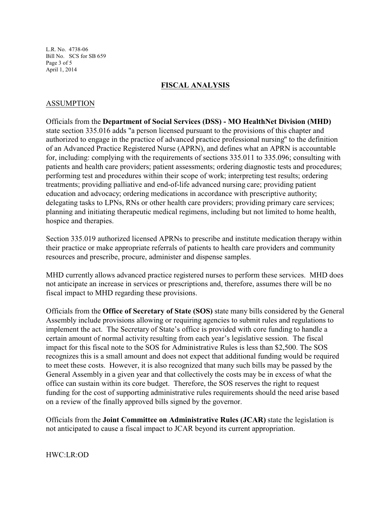L.R. No. 4738-06 Bill No. SCS for SB 659 Page 3 of 5 April 1, 2014

### **FISCAL ANALYSIS**

### ASSUMPTION

Officials from the **Department of Social Services (DSS) - MO HealthNet Division (MHD)** state section 335.016 adds "a person licensed pursuant to the provisions of this chapter and authorized to engage in the practice of advanced practice professional nursing" to the definition of an Advanced Practice Registered Nurse (APRN), and defines what an APRN is accountable for, including: complying with the requirements of sections 335.011 to 335.096; consulting with patients and health care providers; patient assessments; ordering diagnostic tests and procedures; performing test and procedures within their scope of work; interpreting test results; ordering treatments; providing palliative and end-of-life advanced nursing care; providing patient education and advocacy; ordering medications in accordance with prescriptive authority; delegating tasks to LPNs, RNs or other health care providers; providing primary care services; planning and initiating therapeutic medical regimens, including but not limited to home health, hospice and therapies.

Section 335.019 authorized licensed APRNs to prescribe and institute medication therapy within their practice or make appropriate referrals of patients to health care providers and community resources and prescribe, procure, administer and dispense samples.

MHD currently allows advanced practice registered nurses to perform these services. MHD does not anticipate an increase in services or prescriptions and, therefore, assumes there will be no fiscal impact to MHD regarding these provisions.

Officials from the **Office of Secretary of State (SOS)** state many bills considered by the General Assembly include provisions allowing or requiring agencies to submit rules and regulations to implement the act. The Secretary of State's office is provided with core funding to handle a certain amount of normal activity resulting from each year's legislative session. The fiscal impact for this fiscal note to the SOS for Administrative Rules is less than \$2,500. The SOS recognizes this is a small amount and does not expect that additional funding would be required to meet these costs. However, it is also recognized that many such bills may be passed by the General Assembly in a given year and that collectively the costs may be in excess of what the office can sustain within its core budget. Therefore, the SOS reserves the right to request funding for the cost of supporting administrative rules requirements should the need arise based on a review of the finally approved bills signed by the governor.

Officials from the **Joint Committee on Administrative Rules (JCAR)** state the legislation is not anticipated to cause a fiscal impact to JCAR beyond its current appropriation.

HWC:LR:OD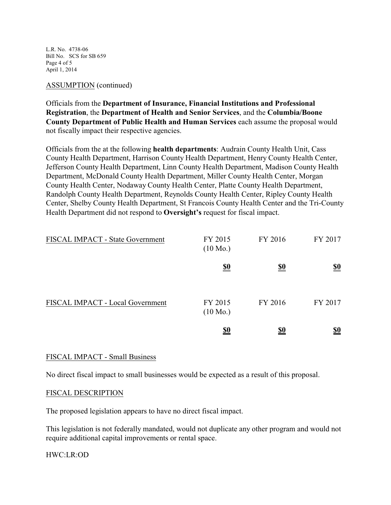L.R. No. 4738-06 Bill No. SCS for SB 659 Page 4 of 5 April 1, 2014

### ASSUMPTION (continued)

Officials from the **Department of Insurance, Financial Institutions and Professional Registration**, the **Department of Health and Senior Services**, and the **Columbia/Boone County Department of Public Health and Human Services** each assume the proposal would not fiscally impact their respective agencies.

Officials from the at the following **health departments**: Audrain County Health Unit, Cass County Health Department, Harrison County Health Department, Henry County Health Center, Jefferson County Health Department, Linn County Health Department, Madison County Health Department, McDonald County Health Department, Miller County Health Center, Morgan County Health Center, Nodaway County Health Center, Platte County Health Department, Randolph County Health Department, Reynolds County Health Center, Ripley County Health Center, Shelby County Health Department, St Francois County Health Center and the Tri-County Health Department did not respond to **Oversight's** request for fiscal impact.

| FISCAL IMPACT - State Government | FY 2015<br>$(10 \text{ Mo.})$ | FY 2016    | FY 2017                       |
|----------------------------------|-------------------------------|------------|-------------------------------|
|                                  | <u>\$0</u>                    | <u>\$0</u> | $\underline{\underline{\$0}}$ |
| FISCAL IMPACT - Local Government | FY 2015<br>$(10 \text{ Mo.})$ | FY 2016    | FY 2017                       |
|                                  | <u>\$0</u>                    | <u>\$0</u> | <u>\$0</u>                    |

### FISCAL IMPACT - Small Business

No direct fiscal impact to small businesses would be expected as a result of this proposal.

### FISCAL DESCRIPTION

The proposed legislation appears to have no direct fiscal impact.

This legislation is not federally mandated, would not duplicate any other program and would not require additional capital improvements or rental space.

### HWC:LR:OD